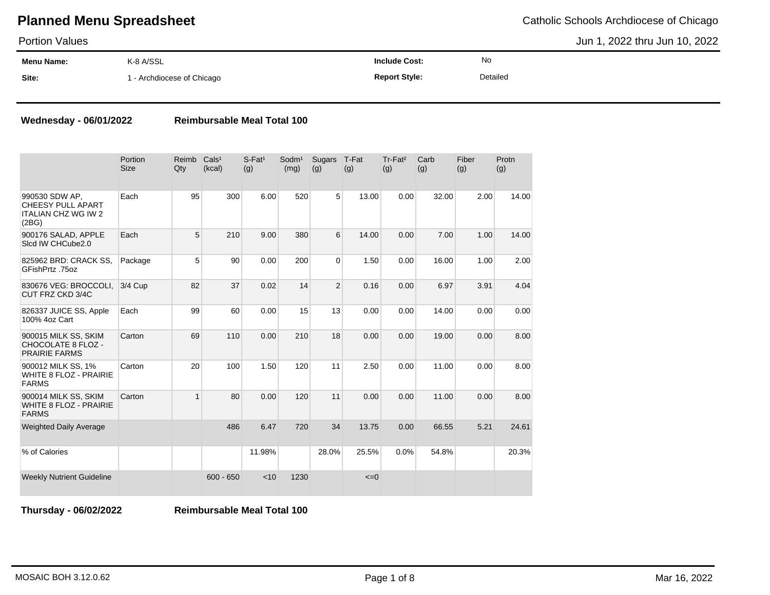Portion Values

**Menu Name: Site:** K-8 A/SSL 1 - Archdiocese of Chicago **Include Cost: Report Style:** No Detailed Jun 1, 2022 thru Jun 10, 2022

#### **Wednesday - 06/01/2022 Reimbursable Meal Total 100**

|                                                                                   | Portion<br><b>Size</b> | Reimb<br>Qty | Cals <sup>1</sup><br>(kcal) | $S$ -Fat <sup>1</sup><br>(g) | Sodm <sup>1</sup><br>(mg) | Sugars<br>(g)  | T-Fat<br>(g) | Tr-Fat <sup>2</sup><br>(g) | Carb<br>(g) | Fiber<br>(g) | Protn<br>(g) |
|-----------------------------------------------------------------------------------|------------------------|--------------|-----------------------------|------------------------------|---------------------------|----------------|--------------|----------------------------|-------------|--------------|--------------|
| 990530 SDW AP.<br><b>CHEESY PULL APART</b><br><b>ITALIAN CHZ WG IW 2</b><br>(2BG) | Each                   | 95           | 300                         | 6.00                         | 520                       | 5              | 13.00        | 0.00                       | 32.00       | 2.00         | 14.00        |
| 900176 SALAD, APPLE<br>Sicd IW CHCube2.0                                          | Each                   | 5            | 210                         | 9.00                         | 380                       | 6              | 14.00        | 0.00                       | 7.00        | 1.00         | 14.00        |
| 825962 BRD: CRACK SS,<br>GFishPrtz .75oz                                          | Package                | 5            | 90                          | 0.00                         | 200                       | 0              | 1.50         | 0.00                       | 16.00       | 1.00         | 2.00         |
| 830676 VEG: BROCCOLI,<br>CUT FRZ CKD 3/4C                                         | 3/4 Cup                | 82           | 37                          | 0.02                         | 14                        | $\overline{2}$ | 0.16         | 0.00                       | 6.97        | 3.91         | 4.04         |
| 826337 JUICE SS, Apple<br>100% 4oz Cart                                           | Each                   | 99           | 60                          | 0.00                         | 15                        | 13             | 0.00         | 0.00                       | 14.00       | 0.00         | 0.00         |
| 900015 MILK SS, SKIM<br>CHOCOLATE 8 FLOZ -<br><b>PRAIRIE FARMS</b>                | Carton                 | 69           | 110                         | 0.00                         | 210                       | 18             | 0.00         | 0.00                       | 19.00       | 0.00         | 8.00         |
| 900012 MILK SS, 1%<br><b>WHITE 8 FLOZ - PRAIRIE</b><br><b>FARMS</b>               | Carton                 | 20           | 100                         | 1.50                         | 120                       | 11             | 2.50         | 0.00                       | 11.00       | 0.00         | 8.00         |
| 900014 MILK SS, SKIM<br><b>WHITE 8 FLOZ - PRAIRIE</b><br><b>FARMS</b>             | Carton                 | $\mathbf{1}$ | 80                          | 0.00                         | 120                       | 11             | 0.00         | 0.00                       | 11.00       | 0.00         | 8.00         |
| <b>Weighted Daily Average</b>                                                     |                        |              | 486                         | 6.47                         | 720                       | 34             | 13.75        | 0.00                       | 66.55       | 5.21         | 24.61        |
| % of Calories                                                                     |                        |              |                             | 11.98%                       |                           | 28.0%          | 25.5%        | 0.0%                       | 54.8%       |              | 20.3%        |
| <b>Weekly Nutrient Guideline</b>                                                  |                        |              | $600 - 650$                 | < 10                         | 1230                      |                | $\leq=0$     |                            |             |              |              |

**Thursday - 06/02/2022 Reimbursable Meal Total 100**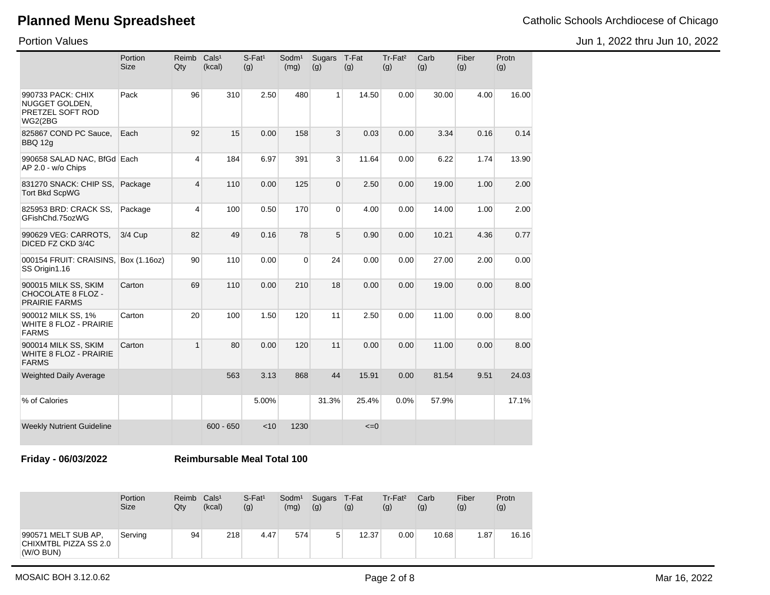Jun 1, 2022 thru Jun 10, 2022

Portion Values

|                                                                           | Portion<br><b>Size</b> | Reimb<br>Qty            | Cals <sup>1</sup><br>(kcal) | $S$ -Fat <sup>1</sup><br>(g) | Sodm <sup>1</sup><br>(mg) | <b>Sugars</b><br>(g) | T-Fat<br>(g) | Tr-Fat <sup>2</sup><br>(g) | Carb<br>(g) | Fiber<br>(g) | Protn<br>(g) |
|---------------------------------------------------------------------------|------------------------|-------------------------|-----------------------------|------------------------------|---------------------------|----------------------|--------------|----------------------------|-------------|--------------|--------------|
| 990733 PACK: CHIX<br>NUGGET GOLDEN,<br>PRETZEL SOFT ROD<br><b>WG2(2BG</b> | Pack                   | 96                      | 310                         | 2.50                         | 480                       | 1                    | 14.50        | 0.00                       | 30.00       | 4.00         | 16.00        |
| 825867 COND PC Sauce.<br>BBQ 12g                                          | Each                   | 92                      | 15                          | 0.00                         | 158                       | 3                    | 0.03         | 0.00                       | 3.34        | 0.16         | 0.14         |
| 990658 SALAD NAC, BfGd Each<br>AP 2.0 - w/o Chips                         |                        | 4                       | 184                         | 6.97                         | 391                       | 3                    | 11.64        | 0.00                       | 6.22        | 1.74         | 13.90        |
| 831270 SNACK: CHIP SS,<br><b>Tort Bkd ScpWG</b>                           | Package                | $\overline{\mathbf{4}}$ | 110                         | 0.00                         | 125                       | $\Omega$             | 2.50         | 0.00                       | 19.00       | 1.00         | 2.00         |
| 825953 BRD: CRACK SS,<br>GFishChd.75ozWG                                  | Package                | 4                       | 100                         | 0.50                         | 170                       | $\Omega$             | 4.00         | 0.00                       | 14.00       | 1.00         | 2.00         |
| 990629 VEG: CARROTS,<br>DICED FZ CKD 3/4C                                 | 3/4 Cup                | 82                      | 49                          | 0.16                         | 78                        | 5                    | 0.90         | 0.00                       | 10.21       | 4.36         | 0.77         |
| 000154 FRUIT: CRAISINS,<br>SS Origin1.16                                  | Box (1.16oz)           | 90                      | 110                         | 0.00                         | $\mathbf 0$               | 24                   | 0.00         | 0.00                       | 27.00       | 2.00         | 0.00         |
| 900015 MILK SS, SKIM<br>CHOCOLATE 8 FLOZ -<br><b>PRAIRIE FARMS</b>        | Carton                 | 69                      | 110                         | 0.00                         | 210                       | 18                   | 0.00         | 0.00                       | 19.00       | 0.00         | 8.00         |
| 900012 MILK SS, 1%<br><b>WHITE 8 FLOZ - PRAIRIE</b><br><b>FARMS</b>       | Carton                 | 20                      | 100                         | 1.50                         | 120                       | 11                   | 2.50         | 0.00                       | 11.00       | 0.00         | 8.00         |
| 900014 MILK SS, SKIM<br><b>WHITE 8 FLOZ - PRAIRIE</b><br><b>FARMS</b>     | Carton                 | $\mathbf{1}$            | 80                          | 0.00                         | 120                       | 11                   | 0.00         | 0.00                       | 11.00       | 0.00         | 8.00         |
| <b>Weighted Daily Average</b>                                             |                        |                         | 563                         | 3.13                         | 868                       | 44                   | 15.91        | 0.00                       | 81.54       | 9.51         | 24.03        |
| % of Calories                                                             |                        |                         |                             | 5.00%                        |                           | 31.3%                | 25.4%        | 0.0%                       | 57.9%       |              | 17.1%        |
| <b>Weekly Nutrient Guideline</b>                                          |                        |                         | $600 - 650$                 | < 10                         | 1230                      |                      | $\leq=0$     |                            |             |              |              |

**Friday - 06/03/2022 Reimbursable Meal Total 100**

|                                                           | Portion<br><b>Size</b> | Reimb<br>Qty | Cals <sup>1</sup><br>(kcal) | $S$ -Fat <sup>1</sup><br>(g) | Sodm <sup>1</sup><br>(mg) | Sugars T-Fat<br>(g) | (g)   | $Tr-Fat2$<br>(g) | Carb<br>(g) | Fiber<br>(g) | Protn<br>(g) |
|-----------------------------------------------------------|------------------------|--------------|-----------------------------|------------------------------|---------------------------|---------------------|-------|------------------|-------------|--------------|--------------|
| 990571 MELT SUB AP,<br>CHIXMTBL PIZZA SS 2.0<br>(W/O BUN) | Servina                | 94           | 218                         | 4.47                         | 574                       | 5                   | 12.37 | 0.00             | 10.68       | 1.87         | 16.16        |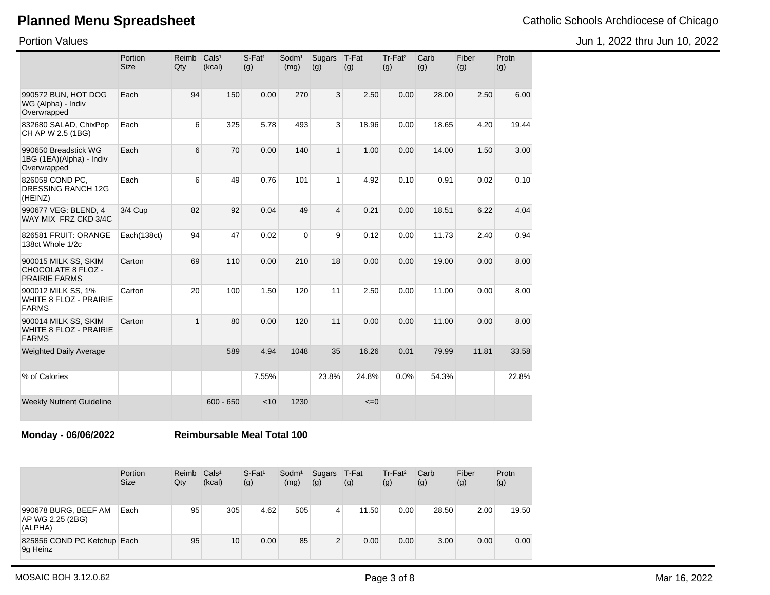Jun 1, 2022 thru Jun 10, 2022

Portion Values

|                                                                       | Portion<br><b>Size</b> | Reimb<br>Qty | Cals <sup>1</sup><br>(kcal) | $S$ -Fat <sup>1</sup><br>(g) | $S$ odm $1$<br>(mg) | Sugars<br>(g)  | T-Fat<br>(g) | Tr-Fat <sup>2</sup><br>(g) | Carb<br>(g) | Fiber<br>(g) | Protn<br>(g) |
|-----------------------------------------------------------------------|------------------------|--------------|-----------------------------|------------------------------|---------------------|----------------|--------------|----------------------------|-------------|--------------|--------------|
| 990572 BUN, HOT DOG<br>WG (Alpha) - Indiv<br>Overwrapped              | Each                   | 94           | 150                         | 0.00                         | 270                 | 3              | 2.50         | 0.00                       | 28.00       | 2.50         | 6.00         |
| 832680 SALAD, ChixPop<br>CH AP W 2.5 (1BG)                            | Each                   | 6            | 325                         | 5.78                         | 493                 | 3              | 18.96        | 0.00                       | 18.65       | 4.20         | 19.44        |
| 990650 Breadstick WG<br>1BG (1EA)(Alpha) - Indiv<br>Overwrapped       | Each                   | 6            | 70                          | 0.00                         | 140                 | $\mathbf{1}$   | 1.00         | 0.00                       | 14.00       | 1.50         | 3.00         |
| 826059 COND PC,<br><b>DRESSING RANCH 12G</b><br>(HEINZ)               | Each                   | 6            | 49                          | 0.76                         | 101                 | $\mathbf{1}$   | 4.92         | 0.10                       | 0.91        | 0.02         | 0.10         |
| 990677 VEG: BLEND, 4<br>WAY MIX FRZ CKD 3/4C                          | $3/4$ Cup              | 82           | 92                          | 0.04                         | 49                  | $\overline{4}$ | 0.21         | 0.00                       | 18.51       | 6.22         | 4.04         |
| 826581 FRUIT: ORANGE<br>138ct Whole 1/2c                              | Each(138ct)            | 94           | 47                          | 0.02                         | $\Omega$            | 9              | 0.12         | 0.00                       | 11.73       | 2.40         | 0.94         |
| 900015 MILK SS, SKIM<br>CHOCOLATE 8 FLOZ -<br><b>PRAIRIE FARMS</b>    | Carton                 | 69           | 110                         | 0.00                         | 210                 | 18             | 0.00         | 0.00                       | 19.00       | 0.00         | 8.00         |
| 900012 MILK SS, 1%<br><b>WHITE 8 FLOZ - PRAIRIE</b><br><b>FARMS</b>   | Carton                 | 20           | 100                         | 1.50                         | 120                 | 11             | 2.50         | 0.00                       | 11.00       | 0.00         | 8.00         |
| 900014 MILK SS, SKIM<br><b>WHITE 8 FLOZ - PRAIRIE</b><br><b>FARMS</b> | Carton                 | $\mathbf{1}$ | 80                          | 0.00                         | 120                 | 11             | 0.00         | 0.00                       | 11.00       | 0.00         | 8.00         |
| <b>Weighted Daily Average</b>                                         |                        |              | 589                         | 4.94                         | 1048                | 35             | 16.26        | 0.01                       | 79.99       | 11.81        | 33.58        |
| % of Calories                                                         |                        |              |                             | 7.55%                        |                     | 23.8%          | 24.8%        | 0.0%                       | 54.3%       |              | 22.8%        |
| <b>Weekly Nutrient Guideline</b>                                      |                        |              | $600 - 650$                 | < 10                         | 1230                |                | $\leq=0$     |                            |             |              |              |

**Monday - 06/06/2022 Reimbursable Meal Total 100**

|                                                     | Portion<br><b>Size</b> | Reimb<br>Qty | Cals <sup>1</sup><br>(kcal) | $S$ -Fat <sup>1</sup><br>(g) | Sodm <sup>1</sup><br>(mg) | <b>Sugars</b><br>(g) | T-Fat<br>(g) | $Tr-Fat2$<br>(g) | Carb<br>(g) | Fiber<br>(g) | Protn<br>(g) |
|-----------------------------------------------------|------------------------|--------------|-----------------------------|------------------------------|---------------------------|----------------------|--------------|------------------|-------------|--------------|--------------|
| 990678 BURG, BEEF AM<br>AP WG 2.25 (2BG)<br>(ALPHA) | Each                   | 95           | 305                         | 4.62                         | 505                       | 4                    | 11.50        | 0.00             | 28.50       | 2.00         | 19.50        |
| 825856 COND PC Ketchup Each<br>9g Heinz             |                        | 95           | 10                          | 0.00                         | 85                        | 2                    | 0.00         | 0.00             | 3.00        | 0.00         | 0.00         |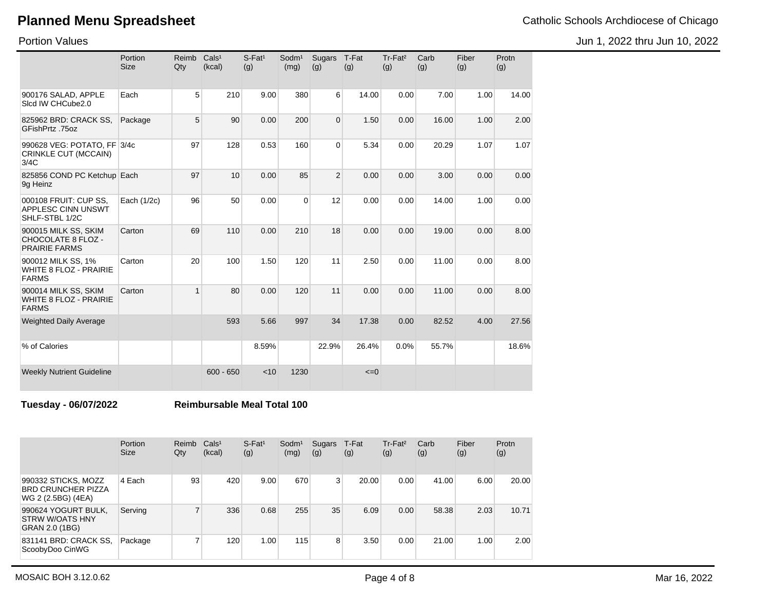Jun 1, 2022 thru Jun 10, 2022

Portion Values

|                                                                       | Portion<br><b>Size</b> | Reimb<br>Qty | Cals <sup>1</sup><br>(kcal) | $S$ -Fat <sup>1</sup><br>(g) | Sodm <sup>1</sup><br>(mg) | Sugars T-Fat<br>(g) | (g)      | Tr-Fat <sup>2</sup><br>(g) | Carb<br>(g) | Fiber<br>(g) | Protn<br>(g) |
|-----------------------------------------------------------------------|------------------------|--------------|-----------------------------|------------------------------|---------------------------|---------------------|----------|----------------------------|-------------|--------------|--------------|
| 900176 SALAD, APPLE<br>Sicd IW CHCube2.0                              | Each                   | 5            | 210                         | 9.00                         | 380                       | 6                   | 14.00    | 0.00                       | 7.00        | 1.00         | 14.00        |
| 825962 BRD: CRACK SS,<br>GFishPrtz .75oz                              | Package                | 5            | 90                          | 0.00                         | 200                       | $\Omega$            | 1.50     | 0.00                       | 16.00       | 1.00         | 2.00         |
| 990628 VEG: POTATO, FF 3/4c<br>CRINKLE CUT (MCCAIN)<br>3/4C           |                        | 97           | 128                         | 0.53                         | 160                       | $\Omega$            | 5.34     | 0.00                       | 20.29       | 1.07         | 1.07         |
| 825856 COND PC Ketchup Each<br>9g Heinz                               |                        | 97           | 10                          | 0.00                         | 85                        | $\overline{2}$      | 0.00     | 0.00                       | 3.00        | 0.00         | 0.00         |
| 000108 FRUIT: CUP SS,<br><b>APPLESC CINN UNSWT</b><br>SHLF-STBL 1/2C  | Each (1/2c)            | 96           | 50                          | 0.00                         | $\Omega$                  | 12                  | 0.00     | 0.00                       | 14.00       | 1.00         | 0.00         |
| 900015 MILK SS, SKIM<br>CHOCOLATE 8 FLOZ -<br><b>PRAIRIE FARMS</b>    | Carton                 | 69           | 110                         | 0.00                         | 210                       | 18                  | 0.00     | 0.00                       | 19.00       | 0.00         | 8.00         |
| 900012 MILK SS, 1%<br>WHITE 8 FLOZ - PRAIRIE<br><b>FARMS</b>          | Carton                 | 20           | 100                         | 1.50                         | 120                       | 11                  | 2.50     | 0.00                       | 11.00       | 0.00         | 8.00         |
| 900014 MILK SS, SKIM<br><b>WHITE 8 FLOZ - PRAIRIE</b><br><b>FARMS</b> | Carton                 | $\mathbf{1}$ | 80                          | 0.00                         | 120                       | 11                  | 0.00     | 0.00                       | 11.00       | 0.00         | 8.00         |
| <b>Weighted Daily Average</b>                                         |                        |              | 593                         | 5.66                         | 997                       | 34                  | 17.38    | 0.00                       | 82.52       | 4.00         | 27.56        |
| % of Calories                                                         |                        |              |                             | 8.59%                        |                           | 22.9%               | 26.4%    | 0.0%                       | 55.7%       |              | 18.6%        |
| <b>Weekly Nutrient Guideline</b>                                      |                        |              | $600 - 650$                 | < 10                         | 1230                      |                     | $\leq=0$ |                            |             |              |              |

**Tuesday - 06/07/2022 Reimbursable Meal Total 100**

|                                                                        | Portion<br><b>Size</b> | Reimb<br>Qty             | Cals <sup>1</sup><br>(kcal) | $S$ -Fat <sup>1</sup><br>(g) | Sodm <sup>1</sup><br>(mg) | Sugars<br>(g) | T-Fat<br>(g) | Tr-Fat <sup>2</sup><br>(g) | Carb<br>(g) | Fiber<br>(g)      | Protn<br>(g) |
|------------------------------------------------------------------------|------------------------|--------------------------|-----------------------------|------------------------------|---------------------------|---------------|--------------|----------------------------|-------------|-------------------|--------------|
| 990332 STICKS, MOZZ<br><b>BRD CRUNCHER PIZZA</b><br>WG 2 (2.5BG) (4EA) | 4 Each                 | 93                       | 420                         | 9.00                         | 670                       | $\mathbf{3}$  | 20.00        | 0.00                       | 41.00       | 6.00              | 20.00        |
| 990624 YOGURT BULK,<br><b>STRW W/OATS HNY</b><br>GRAN 2.0 (1BG)        | Serving                | $\overline{\phantom{a}}$ | 336                         | 0.68                         | 255                       | 35            | 6.09         | 0.00                       | 58.38       | 2.03              | 10.71        |
| 831141 BRD: CRACK SS,<br>ScoobyDoo CinWG                               | Package                | ⇁                        | 120                         | 1.00                         | 115                       | 8             | 3.50         | 0.00                       | 21.00       | 1.00 <sub>1</sub> | 2.00         |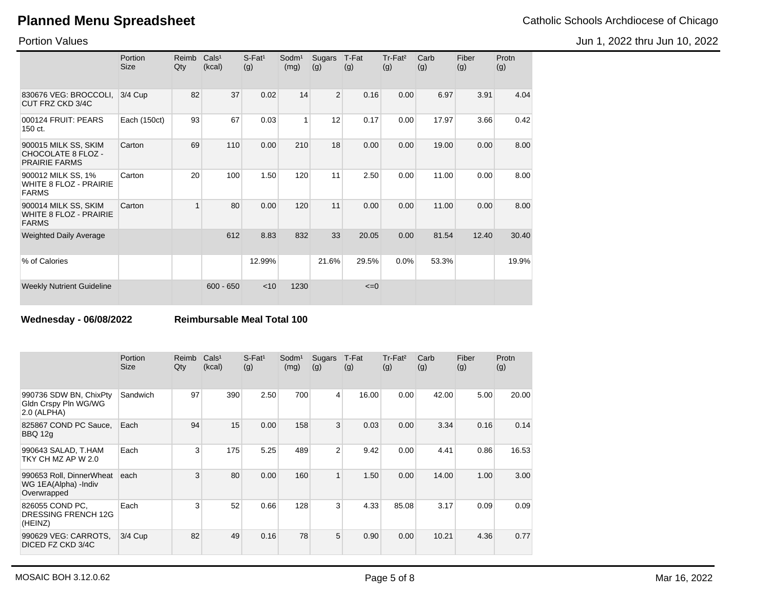Jun 1, 2022 thru Jun 10, 2022

Portion Values

|                                                                       | Portion<br><b>Size</b> | Reimb<br>Qty | Cals <sup>1</sup><br>(kcal) | $S$ -Fat <sup>1</sup><br>(g) | Sodm <sup>1</sup><br>(mg) | <b>Sugars</b><br>(g) | T-Fat<br>(g) | $Tr-Fat2$<br>(g) | Carb<br>(g) | Fiber<br>(g) | Protn<br>(g) |
|-----------------------------------------------------------------------|------------------------|--------------|-----------------------------|------------------------------|---------------------------|----------------------|--------------|------------------|-------------|--------------|--------------|
| 830676 VEG: BROCCOLI,<br>CUT FRZ CKD 3/4C                             | 3/4 Cup                | 82           | 37                          | 0.02                         | 14                        | $\overline{2}$       | 0.16         | 0.00             | 6.97        | 3.91         | 4.04         |
| 000124 FRUIT: PEARS<br>150 ct.                                        | Each (150ct)           | 93           | 67                          | 0.03                         | 1                         | 12                   | 0.17         | 0.00             | 17.97       | 3.66         | 0.42         |
| 900015 MILK SS, SKIM<br>CHOCOLATE 8 FLOZ -<br><b>PRAIRIE FARMS</b>    | Carton                 | 69           | 110                         | 0.00                         | 210                       | 18                   | 0.00         | 0.00             | 19.00       | 0.00         | 8.00         |
| 900012 MILK SS, 1%<br><b>WHITE 8 FLOZ - PRAIRIE</b><br><b>FARMS</b>   | Carton                 | 20           | 100                         | 1.50                         | 120                       | 11                   | 2.50         | 0.00             | 11.00       | 0.00         | 8.00         |
| 900014 MILK SS, SKIM<br><b>WHITE 8 FLOZ - PRAIRIE</b><br><b>FARMS</b> | Carton                 | 1            | 80                          | 0.00                         | 120                       | 11                   | 0.00         | 0.00             | 11.00       | 0.00         | 8.00         |
| <b>Weighted Daily Average</b>                                         |                        |              | 612                         | 8.83                         | 832                       | 33                   | 20.05        | 0.00             | 81.54       | 12.40        | 30.40        |
| % of Calories                                                         |                        |              |                             | 12.99%                       |                           | 21.6%                | 29.5%        | 0.0%             | 53.3%       |              | 19.9%        |
| <b>Weekly Nutrient Guideline</b>                                      |                        |              | $600 - 650$                 | $<$ 10                       | 1230                      |                      | $\leq=0$     |                  |             |              |              |

**Wednesday - 06/08/2022 Reimbursable Meal Total 100**

|                                                                  | Portion<br><b>Size</b> | Reimb<br>Qty | Cals <sup>1</sup><br>(kcal) | $S$ -Fat <sup>1</sup><br>(g) | Sodm <sup>1</sup><br>(mg) | Sugars<br>(g)  | T-Fat<br>(g) | Tr-Fat <sup>2</sup><br>(g) | Carb<br>(g) | Fiber<br>(g) | Protn<br>(g) |
|------------------------------------------------------------------|------------------------|--------------|-----------------------------|------------------------------|---------------------------|----------------|--------------|----------------------------|-------------|--------------|--------------|
| 990736 SDW BN, ChixPty<br>Gldn Crspy Pln WG/WG<br>2.0 (ALPHA)    | Sandwich               | 97           | 390                         | 2.50                         | 700                       | $\overline{4}$ | 16.00        | 0.00                       | 42.00       | 5.00         | 20.00        |
| 825867 COND PC Sauce.<br><b>BBQ 12g</b>                          | Each                   | 94           | 15                          | 0.00                         | 158                       | 3              | 0.03         | 0.00                       | 3.34        | 0.16         | 0.14         |
| 990643 SALAD, T.HAM<br>TKY CH MZ AP W 2.0                        | Each                   | 3            | 175                         | 5.25                         | 489                       | $\overline{2}$ | 9.42         | 0.00                       | 4.41        | 0.86         | 16.53        |
| 990653 Roll, DinnerWheat<br>WG 1EA(Alpha) - Indiv<br>Overwrapped | each                   | 3            | 80                          | 0.00                         | 160                       | $\mathbf{1}$   | 1.50         | 0.00                       | 14.00       | 1.00         | 3.00         |
| 826055 COND PC,<br>DRESSING FRENCH 12G<br>(HEINZ)                | Each                   | 3            | 52                          | 0.66                         | 128                       | 3 <sup>1</sup> | 4.33         | 85.08                      | 3.17        | 0.09         | 0.09         |
| 990629 VEG: CARROTS,<br>DICED FZ CKD 3/4C                        | 3/4 Cup                | 82           | 49                          | 0.16                         | 78                        | 5              | 0.90         | 0.00                       | 10.21       | 4.36         | 0.77         |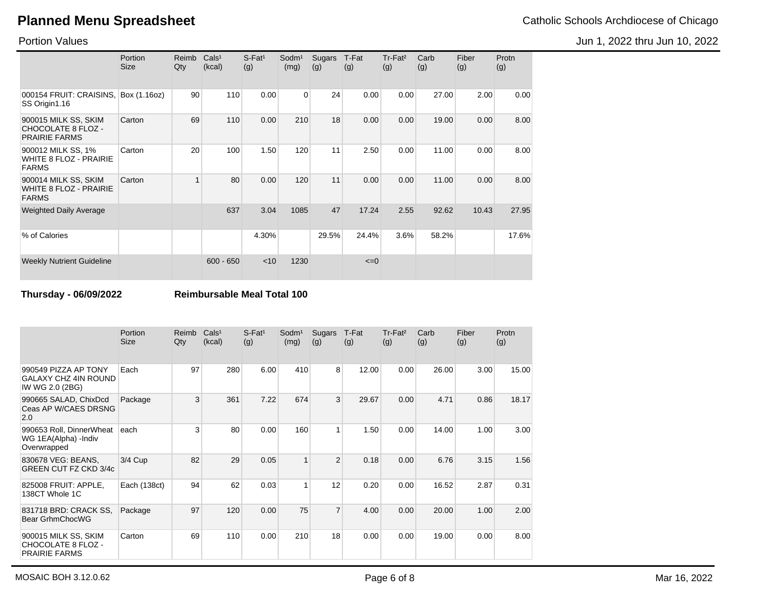Jun 1, 2022 thru Jun 10, 2022

Portion Values

|                                                                       | Portion<br><b>Size</b> | Reimb<br>Qty   | Cals <sup>1</sup><br>(kcal) | $S$ -Fat <sup>1</sup><br>(g) | Sodm <sup>1</sup><br>(mg) | Sugars<br>(g) | T-Fat<br>(g) | $Tr-Fat2$<br>(g) | Carb<br>(g) | Fiber<br>(g) | Protn<br>(g) |
|-----------------------------------------------------------------------|------------------------|----------------|-----------------------------|------------------------------|---------------------------|---------------|--------------|------------------|-------------|--------------|--------------|
| 000154 FRUIT: CRAISINS,<br>SS Origin1.16                              | Box (1.16oz)           | 90             | 110                         | 0.00                         | 0                         | 24            | 0.00         | 0.00             | 27.00       | 2.00         | 0.00         |
| 900015 MILK SS, SKIM<br>CHOCOLATE 8 FLOZ -<br><b>PRAIRIE FARMS</b>    | Carton                 | 69             | 110                         | 0.00                         | 210                       | 18            | 0.00         | 0.00             | 19.00       | 0.00         | 8.00         |
| 900012 MILK SS, 1%<br><b>WHITE 8 FLOZ - PRAIRIE</b><br><b>FARMS</b>   | Carton                 | 20             | 100                         | 1.50                         | 120                       | 11            | 2.50         | 0.00             | 11.00       | 0.00         | 8.00         |
| 900014 MILK SS, SKIM<br><b>WHITE 8 FLOZ - PRAIRIE</b><br><b>FARMS</b> | Carton                 | $\overline{ }$ | 80                          | 0.00                         | 120                       | 11            | 0.00         | 0.00             | 11.00       | 0.00         | 8.00         |
| <b>Weighted Daily Average</b>                                         |                        |                | 637                         | 3.04                         | 1085                      | 47            | 17.24        | 2.55             | 92.62       | 10.43        | 27.95        |
| % of Calories                                                         |                        |                |                             | 4.30%                        |                           | 29.5%         | 24.4%        | 3.6%             | 58.2%       |              | 17.6%        |
| <b>Weekly Nutrient Guideline</b>                                      |                        |                | $600 - 650$                 | $<$ 10                       | 1230                      |               | $\leq=0$     |                  |             |              |              |

**Thursday - 06/09/2022 Reimbursable Meal Total 100**

|                                                                        | Portion<br><b>Size</b> | Reimb<br>Qty | Cals <sup>1</sup><br>(kcal) | $S$ -Fat <sup>1</sup><br>(g) | Sodm <sup>1</sup><br>(mg) | <b>Sugars</b><br>(g) | T-Fat<br>(g) | $Tr-Fat2$<br>(g) | Carb<br>(g) | Fiber<br>(g) | Protn<br>(g) |
|------------------------------------------------------------------------|------------------------|--------------|-----------------------------|------------------------------|---------------------------|----------------------|--------------|------------------|-------------|--------------|--------------|
| 990549 PIZZA AP TONY<br><b>GALAXY CHZ 4IN ROUND</b><br>IW WG 2.0 (2BG) | Each                   | 97           | 280                         | 6.00                         | 410                       | 8                    | 12.00        | 0.00             | 26.00       | 3.00         | 15.00        |
| 990665 SALAD, ChixDcd<br>Ceas AP W/CAES DRSNG<br>2.0                   | Package                | 3            | 361                         | 7.22                         | 674                       | 3                    | 29.67        | 0.00             | 4.71        | 0.86         | 18.17        |
| 990653 Roll, DinnerWheat<br>WG 1EA(Alpha) - Indiv<br>Overwrapped       | each                   | 3            | 80                          | 0.00                         | 160                       | 1                    | 1.50         | 0.00             | 14.00       | 1.00         | 3.00         |
| 830678 VEG: BEANS,<br><b>GREEN CUT FZ CKD 3/4c</b>                     | $3/4$ Cup              | 82           | 29                          | 0.05                         | 1                         | $\overline{2}$       | 0.18         | 0.00             | 6.76        | 3.15         | 1.56         |
| 825008 FRUIT: APPLE,<br>138CT Whole 1C                                 | Each (138ct)           | 94           | 62                          | 0.03                         | 1                         | 12                   | 0.20         | 0.00             | 16.52       | 2.87         | 0.31         |
| 831718 BRD: CRACK SS,<br>Bear GrhmChocWG                               | Package                | 97           | 120                         | 0.00                         | 75                        | $\overline{7}$       | 4.00         | 0.00             | 20.00       | 1.00         | 2.00         |
| 900015 MILK SS, SKIM<br>CHOCOLATE 8 FLOZ -<br><b>PRAIRIE FARMS</b>     | Carton                 | 69           | 110                         | 0.00                         | 210                       | 18                   | 0.00         | 0.00             | 19.00       | 0.00         | 8.00         |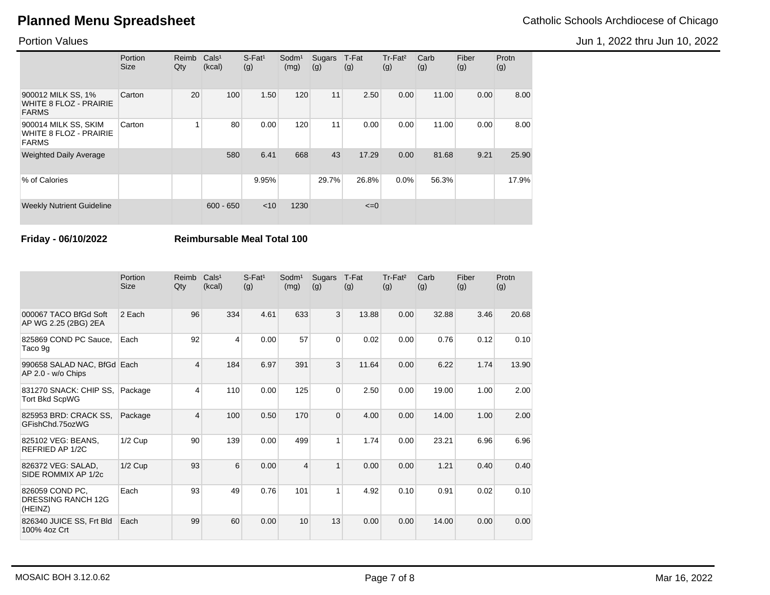Jun 1, 2022 thru Jun 10, 2022

Portion Values

|                                                                       | Portion<br><b>Size</b> | Reimb<br>Qty | Cals <sup>1</sup><br>(kcal) | $S$ -Fat <sup>1</sup><br>(g) | Sodm <sup>1</sup><br>(mg) | Sugars<br>(g)   | T-Fat<br>(g) | Tr-Fat <sup>2</sup><br>(g) | Carb<br>(g) | Fiber<br>(g) | Protn<br>(g) |
|-----------------------------------------------------------------------|------------------------|--------------|-----------------------------|------------------------------|---------------------------|-----------------|--------------|----------------------------|-------------|--------------|--------------|
| 900012 MILK SS, 1%<br><b>WHITE 8 FLOZ - PRAIRIE</b><br><b>FARMS</b>   | Carton                 | 20           | 100                         | 1.50                         | 120                       | 11              | 2.50         | 0.00                       | 11.00       | 0.00         | 8.00         |
| 900014 MILK SS, SKIM<br><b>WHITE 8 FLOZ - PRAIRIE</b><br><b>FARMS</b> | Carton                 |              | 80                          | 0.00                         | 120                       | 11 <sub>1</sub> | 0.00         | 0.00                       | 11.00       | 0.00         | 8.00         |
| <b>Weighted Daily Average</b>                                         |                        |              | 580                         | 6.41                         | 668                       | 43              | 17.29        | 0.00                       | 81.68       | 9.21         | 25.90        |
| % of Calories                                                         |                        |              |                             | 9.95%                        |                           | 29.7%           | 26.8%        | 0.0%                       | 56.3%       |              | 17.9%        |
| <b>Weekly Nutrient Guideline</b>                                      |                        |              | $600 - 650$                 | < 10                         | 1230                      |                 | $\leq=0$     |                            |             |              |              |

**Friday - 06/10/2022 Reimbursable Meal Total 100**

|                                                         | Portion<br><b>Size</b> | Reimb<br>Qty | Cals <sup>1</sup><br>(kcal) | $S$ -Fat <sup>1</sup><br>(g) | Sodm <sup>1</sup><br>(mg) | Sugars<br>(g)  | T-Fat<br>(g) | Tr-Fat <sup>2</sup><br>(g) | Carb<br>(g) | Fiber<br>(g) | Protn<br>(g) |
|---------------------------------------------------------|------------------------|--------------|-----------------------------|------------------------------|---------------------------|----------------|--------------|----------------------------|-------------|--------------|--------------|
| 000067 TACO BfGd Soft<br>AP WG 2.25 (2BG) 2EA           | 2 Each                 | 96           | 334                         | 4.61                         | 633                       | 3              | 13.88        | 0.00                       | 32.88       | 3.46         | 20.68        |
| 825869 COND PC Sauce.<br>Taco 9g                        | Each                   | 92           | 4                           | 0.00                         | 57                        | $\Omega$       | 0.02         | 0.00                       | 0.76        | 0.12         | 0.10         |
| 990658 SALAD NAC, BfGd Each<br>AP 2.0 - w/o Chips       |                        | 4            | 184                         | 6.97                         | 391                       | 3              | 11.64        | 0.00                       | 6.22        | 1.74         | 13.90        |
| 831270 SNACK: CHIP SS,<br><b>Tort Bkd ScpWG</b>         | Package                | 4            | 110                         | 0.00                         | 125                       | $\overline{0}$ | 2.50         | 0.00                       | 19.00       | 1.00         | 2.00         |
| 825953 BRD: CRACK SS.<br>GFishChd.75ozWG                | Package                | 4            | 100                         | 0.50                         | 170                       | $\Omega$       | 4.00         | 0.00                       | 14.00       | 1.00         | 2.00         |
| 825102 VEG: BEANS.<br>REFRIED AP 1/2C                   | $1/2$ Cup              | 90           | 139                         | 0.00                         | 499                       | 1              | 1.74         | 0.00                       | 23.21       | 6.96         | 6.96         |
| 826372 VEG: SALAD.<br>SIDE ROMMIX AP 1/2c               | $1/2$ Cup              | 93           | 6                           | 0.00                         | $\overline{\mathbf{4}}$   | $\mathbf{1}$   | 0.00         | 0.00                       | 1.21        | 0.40         | 0.40         |
| 826059 COND PC.<br><b>DRESSING RANCH 12G</b><br>(HEINZ) | Each                   | 93           | 49                          | 0.76                         | 101                       | 1              | 4.92         | 0.10                       | 0.91        | 0.02         | 0.10         |
| 826340 JUICE SS, Frt Bld<br>100% 4oz Crt                | Each                   | 99           | 60                          | 0.00                         | 10                        | 13             | 0.00         | 0.00                       | 14.00       | 0.00         | 0.00         |